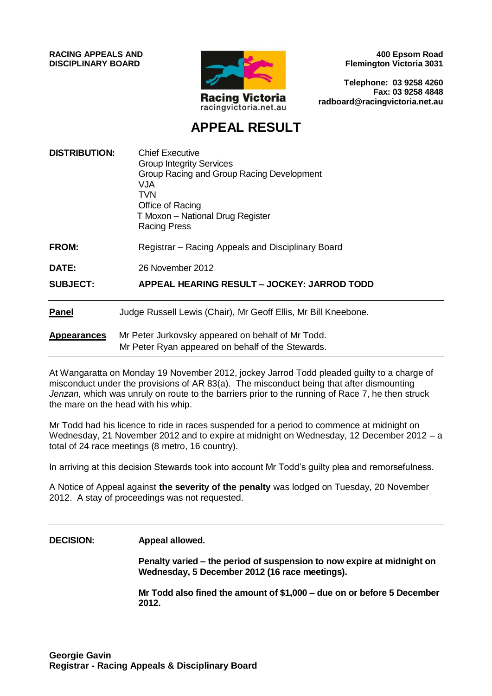**RACING APPEALS AND DISCIPLINARY BOARD**



**400 Epsom Road Flemington Victoria 3031**

**Telephone: 03 9258 4260 Fax: 03 9258 4848 radboard@racingvictoria.net.au**

# **APPEAL RESULT**

| <b>DISTRIBUTION:</b> | <b>Chief Executive</b><br><b>Group Integrity Services</b><br>Group Racing and Group Racing Development<br>VJA<br><b>TVN</b><br>Office of Racing<br>T Moxon - National Drug Register<br><b>Racing Press</b> |
|----------------------|------------------------------------------------------------------------------------------------------------------------------------------------------------------------------------------------------------|
| <b>FROM:</b>         | Registrar – Racing Appeals and Disciplinary Board                                                                                                                                                          |
| <b>DATE:</b>         | 26 November 2012                                                                                                                                                                                           |
| <b>SUBJECT:</b>      | APPEAL HEARING RESULT - JOCKEY: JARROD TODD                                                                                                                                                                |
| <b>Panel</b>         | Judge Russell Lewis (Chair), Mr Geoff Ellis, Mr Bill Kneebone.                                                                                                                                             |
| <b>Appearances</b>   | Mr Peter Jurkovsky appeared on behalf of Mr Todd.<br>Mr Peter Ryan appeared on behalf of the Stewards.                                                                                                     |

At Wangaratta on Monday 19 November 2012, jockey Jarrod Todd pleaded guilty to a charge of misconduct under the provisions of AR 83(a). The misconduct being that after dismounting *Jenzan,* which was unruly on route to the barriers prior to the running of Race 7, he then struck the mare on the head with his whip.

Mr Todd had his licence to ride in races suspended for a period to commence at midnight on Wednesday, 21 November 2012 and to expire at midnight on Wednesday, 12 December 2012 – a total of 24 race meetings (8 metro, 16 country).

In arriving at this decision Stewards took into account Mr Todd's guilty plea and remorsefulness.

A Notice of Appeal against **the severity of the penalty** was lodged on Tuesday, 20 November 2012. A stay of proceedings was not requested.

#### **DECISION: Appeal allowed.**

**Penalty varied – the period of suspension to now expire at midnight on Wednesday, 5 December 2012 (16 race meetings).**

**Mr Todd also fined the amount of \$1,000 – due on or before 5 December 2012.**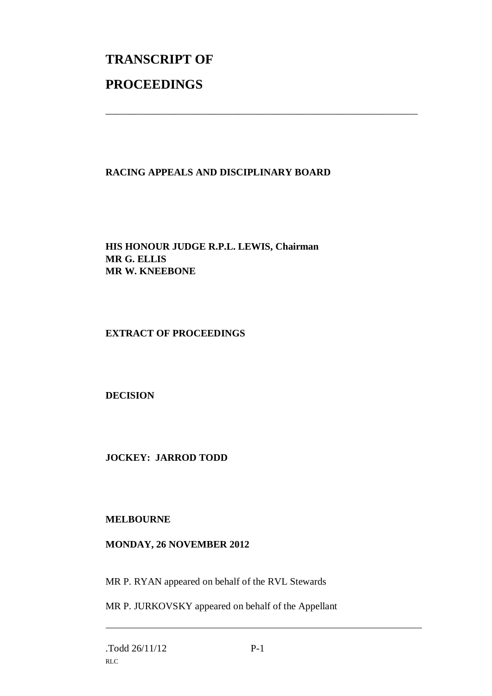# **TRANSCRIPT OF PROCEEDINGS**

# **RACING APPEALS AND DISCIPLINARY BOARD**

\_\_\_\_\_\_\_\_\_\_\_\_\_\_\_\_\_\_\_\_\_\_\_\_\_\_\_\_\_\_\_\_\_\_\_\_\_\_\_\_\_\_\_\_\_\_\_\_\_\_\_\_\_\_\_\_\_\_\_\_\_\_\_

**HIS HONOUR JUDGE R.P.L. LEWIS, Chairman MR G. ELLIS MR W. KNEEBONE**

# **EXTRACT OF PROCEEDINGS**

**DECISION**

**JOCKEY: JARROD TODD**

# **MELBOURNE**

# **MONDAY, 26 NOVEMBER 2012**

MR P. RYAN appeared on behalf of the RVL Stewards

MR P. JURKOVSKY appeared on behalf of the Appellant